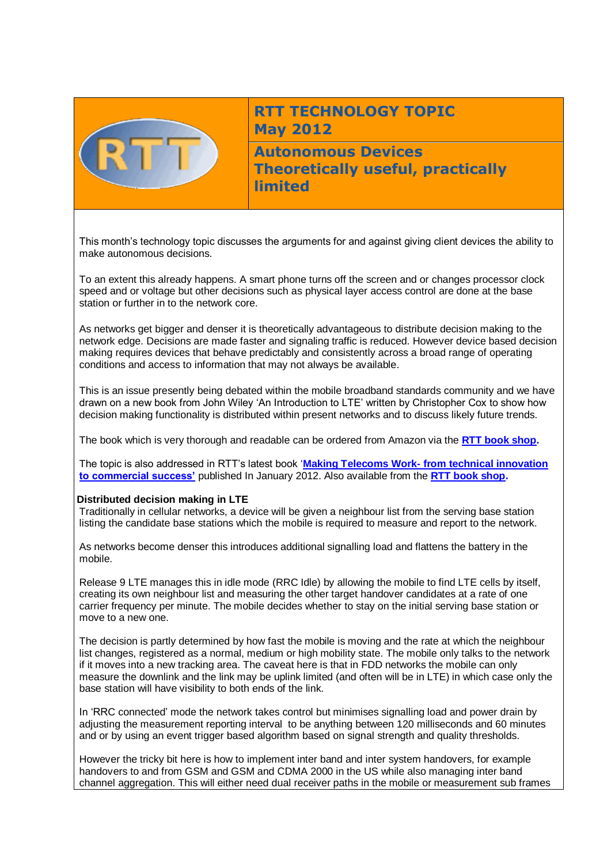

# **RTT TECHNOLOGY TOPIC May 2012**

**Autonomous Devices Theoretically useful, practically limited**

This month's technology topic discusses the arguments for and against giving client devices the ability to make autonomous decisions.

To an extent this already happens. A smart phone turns off the screen and or changes processor clock speed and or voltage but other decisions such as physical layer access control are done at the base station or further in to the network core.

As networks get bigger and denser it is theoretically advantageous to distribute decision making to the network edge. Decisions are made faster and signaling traffic is reduced. However device based decision making requires devices that behave predictably and consistently across a broad range of operating conditions and access to information that may not always be available.

This is an issue presently being debated within the mobile broadband standards community and we have drawn on a new book from John Wiley 'An Introduction to LTE' written by Christopher Cox to show how decision making functionality is distributed within present networks and to discuss likely future trends.

The book which is very thorough and readable can be ordered from Amazon via the **[RTT book shop.](http://www.rttonline.com/bookshop.html)**

The topic is also addressed in RTT's latest book '**Making Telecoms Work- [from technical innovation](http://www.rttonline.com/bookshop.html)  [to commercial success'](http://www.rttonline.com/bookshop.html)** published In January 2012. Also available from the **[RTT book shop.](http://www.rttonline.com/bookshop.html)**

## **Distributed decision making in LTE**

Traditionally in cellular networks, a device will be given a neighbour list from the serving base station listing the candidate base stations which the mobile is required to measure and report to the network.

As networks become denser this introduces additional signalling load and flattens the battery in the mobile.

Release 9 LTE manages this in idle mode (RRC Idle) by allowing the mobile to find LTE cells by itself, creating its own neighbour list and measuring the other target handover candidates at a rate of one carrier frequency per minute. The mobile decides whether to stay on the initial serving base station or move to a new one.

The decision is partly determined by how fast the mobile is moving and the rate at which the neighbour list changes, registered as a normal, medium or high mobility state. The mobile only talks to the network if it moves into a new tracking area. The caveat here is that in FDD networks the mobile can only measure the downlink and the link may be uplink limited (and often will be in LTE) in which case only the base station will have visibility to both ends of the link.

In 'RRC connected' mode the network takes control but minimises signalling load and power drain by adjusting the measurement reporting interval to be anything between 120 milliseconds and 60 minutes and or by using an event trigger based algorithm based on signal strength and quality thresholds.

However the tricky bit here is how to implement inter band and inter system handovers, for example handovers to and from GSM and GSM and CDMA 2000 in the US while also managing inter band channel aggregation. This will either need dual receiver paths in the mobile or measurement sub frames